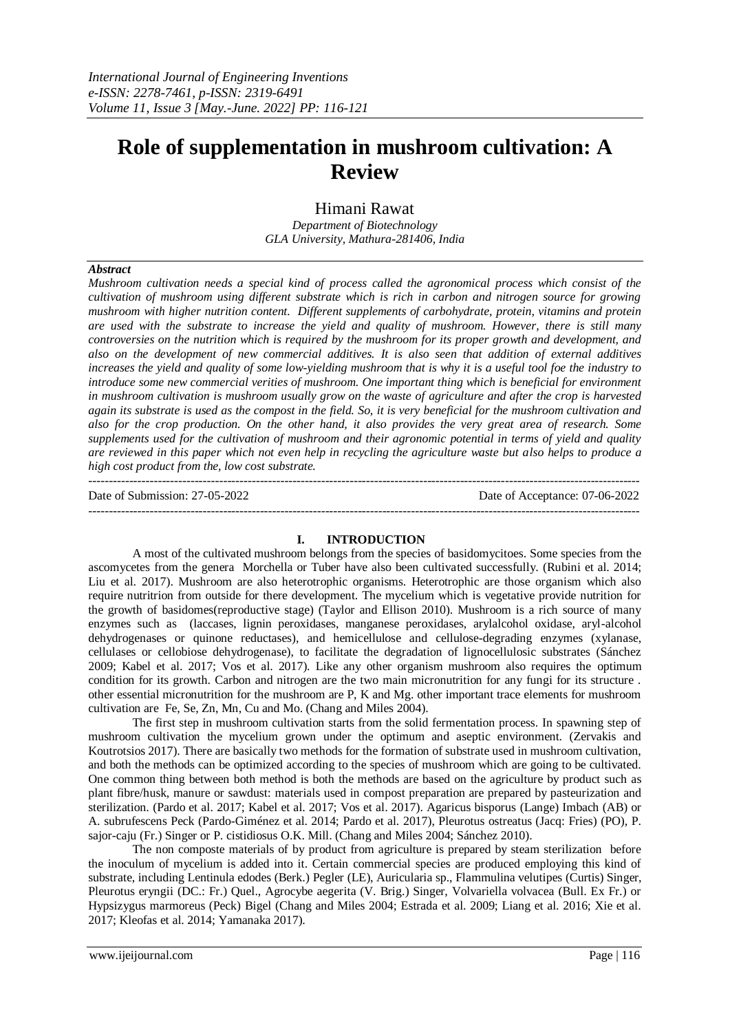# **Role of supplementation in mushroom cultivation: A Review**

Himani Rawat *Department of Biotechnology GLA University, Mathura-281406, India*

# *Abstract*

*Mushroom cultivation needs a special kind of process called the agronomical process which consist of the cultivation of mushroom using different substrate which is rich in carbon and nitrogen source for growing mushroom with higher nutrition content. Different supplements of carbohydrate, protein, vitamins and protein are used with the substrate to increase the yield and quality of mushroom. However, there is still many controversies on the nutrition which is required by the mushroom for its proper growth and development, and also on the development of new commercial additives. It is also seen that addition of external additives increases the yield and quality of some low-yielding mushroom that is why it is a useful tool foe the industry to introduce some new commercial verities of mushroom. One important thing which is beneficial for environment in mushroom cultivation is mushroom usually grow on the waste of agriculture and after the crop is harvested again its substrate is used as the compost in the field. So, it is very beneficial for the mushroom cultivation and also for the crop production. On the other hand, it also provides the very great area of research. Some supplements used for the cultivation of mushroom and their agronomic potential in terms of yield and quality are reviewed in this paper which not even help in recycling the agriculture waste but also helps to produce a high cost product from the, low cost substrate.* 

 $-1-\frac{1}{2}$ 

Date of Submission: 27-05-2022 Date of Acceptance: 07-06-2022

# **I. INTRODUCTION**

A most of the cultivated mushroom belongs from the species of basidomycitoes. Some species from the ascomycetes from the genera Morchella or Tuber have also been cultivated successfully. (Rubini et al. 2014; Liu et al. 2017). Mushroom are also heterotrophic organisms. Heterotrophic are those organism which also require nutritrion from outside for there development. The mycelium which is vegetative provide nutrition for the growth of basidomes(reproductive stage) (Taylor and Ellison 2010). Mushroom is a rich source of many enzymes such as (laccases, lignin peroxidases, manganese peroxidases, arylalcohol oxidase, aryl-alcohol dehydrogenases or quinone reductases), and hemicellulose and cellulose-degrading enzymes (xylanase, cellulases or cellobiose dehydrogenase), to facilitate the degradation of lignocellulosic substrates (Sánchez 2009; Kabel et al. 2017; Vos et al. 2017). Like any other organism mushroom also requires the optimum condition for its growth. Carbon and nitrogen are the two main micronutrition for any fungi for its structure . other essential micronutrition for the mushroom are P, K and Mg. other important trace elements for mushroom cultivation are Fe, Se, Zn, Mn, Cu and Mo. (Chang and Miles 2004).

The first step in mushroom cultivation starts from the solid fermentation process. In spawning step of mushroom cultivation the mycelium grown under the optimum and aseptic environment. (Zervakis and Koutrotsios 2017). There are basically two methods for the formation of substrate used in mushroom cultivation, and both the methods can be optimized according to the species of mushroom which are going to be cultivated. One common thing between both method is both the methods are based on the agriculture by product such as plant fibre/husk, manure or sawdust: materials used in compost preparation are prepared by pasteurization and sterilization. (Pardo et al. 2017; Kabel et al. 2017; Vos et al. 2017). Agaricus bisporus (Lange) Imbach (AB) or A. subrufescens Peck (Pardo-Giménez et al. 2014; Pardo et al. 2017), Pleurotus ostreatus (Jacq: Fries) (PO), P. sajor-caju (Fr.) Singer or P. cistidiosus O.K. Mill. (Chang and Miles 2004; Sánchez 2010).

The non composte materials of by product from agriculture is prepared by steam sterilization before the inoculum of mycelium is added into it. Certain commercial species are produced employing this kind of substrate, including Lentinula edodes (Berk.) Pegler (LE), Auricularia sp., Flammulina velutipes (Curtis) Singer, Pleurotus eryngii (DC.: Fr.) Quel., Agrocybe aegerita (V. Brig.) Singer, Volvariella volvacea (Bull. Ex Fr.) or Hypsizygus marmoreus (Peck) Bigel (Chang and Miles 2004; Estrada et al. 2009; Liang et al. 2016; Xie et al. 2017; Kleofas et al. 2014; Yamanaka 2017).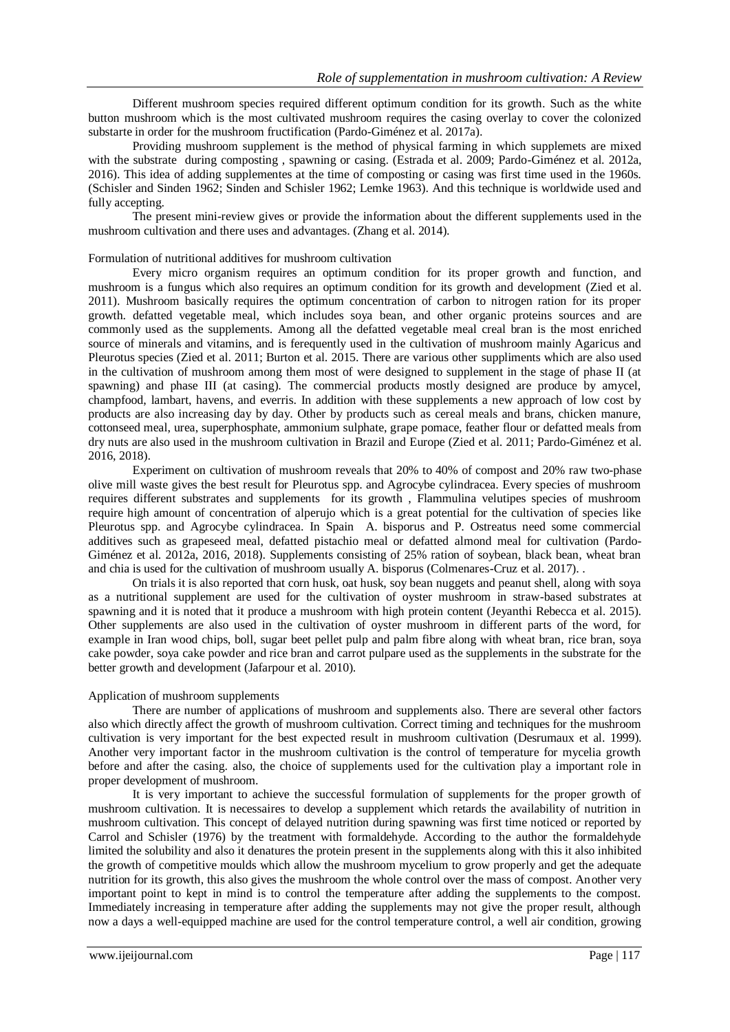Different mushroom species required different optimum condition for its growth. Such as the white button mushroom which is the most cultivated mushroom requires the casing overlay to cover the colonized substarte in order for the mushroom fructification (Pardo-Giménez et al. 2017a).

Providing mushroom supplement is the method of physical farming in which supplemets are mixed with the substrate during composting , spawning or casing. (Estrada et al. 2009; Pardo-Giménez et al. 2012a, 2016). This idea of adding supplementes at the time of composting or casing was first time used in the 1960s. (Schisler and Sinden 1962; Sinden and Schisler 1962; Lemke 1963). And this technique is worldwide used and fully accepting.

The present mini-review gives or provide the information about the different supplements used in the mushroom cultivation and there uses and advantages. (Zhang et al. 2014).

## Formulation of nutritional additives for mushroom cultivation

Every micro organism requires an optimum condition for its proper growth and function, and mushroom is a fungus which also requires an optimum condition for its growth and development (Zied et al. 2011). Mushroom basically requires the optimum concentration of carbon to nitrogen ration for its proper growth. defatted vegetable meal, which includes soya bean, and other organic proteins sources and are commonly used as the supplements. Among all the defatted vegetable meal creal bran is the most enriched source of minerals and vitamins, and is ferequently used in the cultivation of mushroom mainly Agaricus and Pleurotus species (Zied et al. 2011; Burton et al. 2015. There are various other suppliments which are also used in the cultivation of mushroom among them most of were designed to supplement in the stage of phase II (at spawning) and phase III (at casing). The commercial products mostly designed are produce by amycel, champfood, lambart, havens, and everris. In addition with these supplements a new approach of low cost by products are also increasing day by day. Other by products such as cereal meals and brans, chicken manure, cottonseed meal, urea, superphosphate, ammonium sulphate, grape pomace, feather flour or defatted meals from dry nuts are also used in the mushroom cultivation in Brazil and Europe (Zied et al. 2011; Pardo-Giménez et al. 2016, 2018).

Experiment on cultivation of mushroom reveals that 20% to 40% of compost and 20% raw two-phase olive mill waste gives the best result for Pleurotus spp. and Agrocybe cylindracea. Every species of mushroom requires different substrates and supplements for its growth , Flammulina velutipes species of mushroom require high amount of concentration of alperujo which is a great potential for the cultivation of species like Pleurotus spp. and Agrocybe cylindracea. In Spain A. bisporus and P. Ostreatus need some commercial additives such as grapeseed meal, defatted pistachio meal or defatted almond meal for cultivation (Pardo-Giménez et al. 2012a, 2016, 2018). Supplements consisting of 25% ration of soybean, black bean, wheat bran and chia is used for the cultivation of mushroom usually A. bisporus (Colmenares-Cruz et al. 2017). .

On trials it is also reported that corn husk, oat husk, soy bean nuggets and peanut shell, along with soya as a nutritional supplement are used for the cultivation of oyster mushroom in straw-based substrates at spawning and it is noted that it produce a mushroom with high protein content (Jeyanthi Rebecca et al. 2015). Other supplements are also used in the cultivation of oyster mushroom in different parts of the word, for example in Iran wood chips, boll, sugar beet pellet pulp and palm fibre along with wheat bran, rice bran, soya cake powder, soya cake powder and rice bran and carrot pulpare used as the supplements in the substrate for the better growth and development (Jafarpour et al. 2010).

# Application of mushroom supplements

There are number of applications of mushroom and supplements also. There are several other factors also which directly affect the growth of mushroom cultivation. Correct timing and techniques for the mushroom cultivation is very important for the best expected result in mushroom cultivation (Desrumaux et al. 1999). Another very important factor in the mushroom cultivation is the control of temperature for mycelia growth before and after the casing. also, the choice of supplements used for the cultivation play a important role in proper development of mushroom.

It is very important to achieve the successful formulation of supplements for the proper growth of mushroom cultivation. It is necessaires to develop a supplement which retards the availability of nutrition in mushroom cultivation. This concept of delayed nutrition during spawning was first time noticed or reported by Carrol and Schisler (1976) by the treatment with formaldehyde. According to the author the formaldehyde limited the solubility and also it denatures the protein present in the supplements along with this it also inhibited the growth of competitive moulds which allow the mushroom mycelium to grow properly and get the adequate nutrition for its growth, this also gives the mushroom the whole control over the mass of compost. Another very important point to kept in mind is to control the temperature after adding the supplements to the compost. Immediately increasing in temperature after adding the supplements may not give the proper result, although now a days a well-equipped machine are used for the control temperature control, a well air condition, growing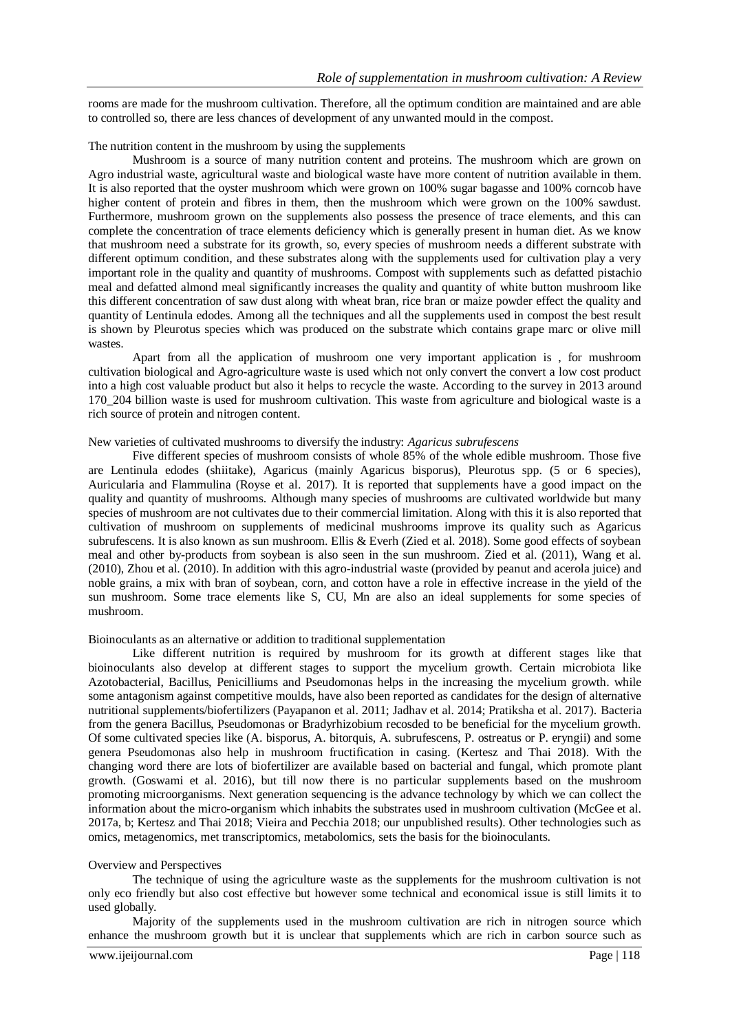rooms are made for the mushroom cultivation. Therefore, all the optimum condition are maintained and are able to controlled so, there are less chances of development of any unwanted mould in the compost.

# The nutrition content in the mushroom by using the supplements

Mushroom is a source of many nutrition content and proteins. The mushroom which are grown on Agro industrial waste, agricultural waste and biological waste have more content of nutrition available in them. It is also reported that the oyster mushroom which were grown on 100% sugar bagasse and 100% corncob have higher content of protein and fibres in them, then the mushroom which were grown on the 100% sawdust. Furthermore, mushroom grown on the supplements also possess the presence of trace elements, and this can complete the concentration of trace elements deficiency which is generally present in human diet. As we know that mushroom need a substrate for its growth, so, every species of mushroom needs a different substrate with different optimum condition, and these substrates along with the supplements used for cultivation play a very important role in the quality and quantity of mushrooms. Compost with supplements such as defatted pistachio meal and defatted almond meal significantly increases the quality and quantity of white button mushroom like this different concentration of saw dust along with wheat bran, rice bran or maize powder effect the quality and quantity of Lentinula edodes. Among all the techniques and all the supplements used in compost the best result is shown by Pleurotus species which was produced on the substrate which contains grape marc or olive mill wastes.

Apart from all the application of mushroom one very important application is , for mushroom cultivation biological and Agro-agriculture waste is used which not only convert the convert a low cost product into a high cost valuable product but also it helps to recycle the waste. According to the survey in 2013 around 170\_204 billion waste is used for mushroom cultivation. This waste from agriculture and biological waste is a rich source of protein and nitrogen content.

#### New varieties of cultivated mushrooms to diversify the industry: *Agaricus subrufescens*

Five different species of mushroom consists of whole 85% of the whole edible mushroom. Those five are Lentinula edodes (shiitake), Agaricus (mainly Agaricus bisporus), Pleurotus spp. (5 or 6 species), Auricularia and Flammulina (Royse et al. 2017). It is reported that supplements have a good impact on the quality and quantity of mushrooms. Although many species of mushrooms are cultivated worldwide but many species of mushroom are not cultivates due to their commercial limitation. Along with this it is also reported that cultivation of mushroom on supplements of medicinal mushrooms improve its quality such as Agaricus subrufescens. It is also known as sun mushroom. Ellis & Everh (Zied et al. 2018). Some good effects of soybean meal and other by-products from soybean is also seen in the sun mushroom. Zied et al. (2011), Wang et al. (2010), Zhou et al. (2010). In addition with this agro-industrial waste (provided by peanut and acerola juice) and noble grains, a mix with bran of soybean, corn, and cotton have a role in effective increase in the yield of the sun mushroom. Some trace elements like S, CU, Mn are also an ideal supplements for some species of mushroom.

#### Bioinoculants as an alternative or addition to traditional supplementation

Like different nutrition is required by mushroom for its growth at different stages like that bioinoculants also develop at different stages to support the mycelium growth. Certain microbiota like Azotobacterial, Bacillus, Penicilliums and Pseudomonas helps in the increasing the mycelium growth. while some antagonism against competitive moulds, have also been reported as candidates for the design of alternative nutritional supplements/biofertilizers (Payapanon et al. 2011; Jadhav et al. 2014; Pratiksha et al. 2017). Bacteria from the genera Bacillus, Pseudomonas or Bradyrhizobium recosded to be beneficial for the mycelium growth. Of some cultivated species like (A. bisporus, A. bitorquis, A. subrufescens, P. ostreatus or P. eryngii) and some genera Pseudomonas also help in mushroom fructification in casing. (Kertesz and Thai 2018). With the changing word there are lots of biofertilizer are available based on bacterial and fungal, which promote plant growth. (Goswami et al. 2016), but till now there is no particular supplements based on the mushroom promoting microorganisms. Next generation sequencing is the advance technology by which we can collect the information about the micro-organism which inhabits the substrates used in mushroom cultivation (McGee et al. 2017a, b; Kertesz and Thai 2018; Vieira and Pecchia 2018; our unpublished results). Other technologies such as omics, metagenomics, met transcriptomics, metabolomics, sets the basis for the bioinoculants.

#### Overview and Perspectives

The technique of using the agriculture waste as the supplements for the mushroom cultivation is not only eco friendly but also cost effective but however some technical and economical issue is still limits it to used globally.

Majority of the supplements used in the mushroom cultivation are rich in nitrogen source which enhance the mushroom growth but it is unclear that supplements which are rich in carbon source such as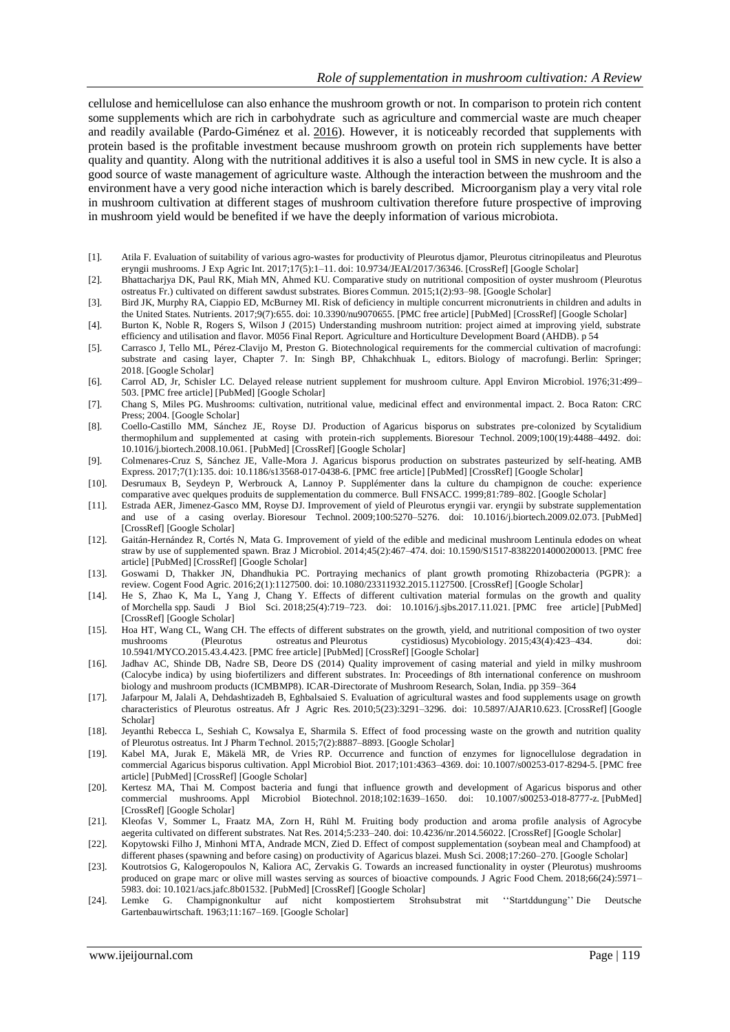cellulose and hemicellulose can also enhance the mushroom growth or not. In comparison to protein rich content some supplements which are rich in carbohydrate such as agriculture and commercial waste are much cheaper and readily available (Pardo-Giménez et al. [2016\)](https://amb-express.springeropen.com/articles/10.1186/s13568-018-0678-0#ref-CR38). However, it is noticeably recorded that supplements with protein based is the profitable investment because mushroom growth on protein rich supplements have better quality and quantity. Along with the nutritional additives it is also a useful tool in SMS in new cycle. It is also a good source of waste management of agriculture waste. Although the interaction between the mushroom and the environment have a very good niche interaction which is barely described. Microorganism play a very vital role in mushroom cultivation at different stages of mushroom cultivation therefore future prospective of improving in mushroom yield would be benefited if we have the deeply information of various microbiota.

- [1]. Atila F. Evaluation of suitability of various agro-wastes for productivity of Pleurotus djamor, Pleurotus citrinopileatus and Pleurotus eryngii mushrooms. J Exp Agric Int. 2017;17(5):1–11. doi: 10.9734/JEAI/2017/36346. [\[CrossRef\]](https://dx.doi.org/10.9734%2FJEAI%2F2017%2F36346) [\[Google Scholar\]](https://scholar.google.com/scholar_lookup?journal=J+Exp+Agric+Int&title=Evaluation+of+suitability+of+various+agro-wastes+for+productivity+of+Pleurotus+djamor,+Pleurotus+citrinopileatus+and+Pleurotus+eryngii+mushrooms&author=F+Atila&volume=17&issue=5&publication_year=2017&pages=1-11&doi=10.9734/JEAI/2017/36346&)
- [2]. Bhattacharjya DK, Paul RK, Miah MN, Ahmed KU. Comparative study on nutritional composition of oyster mushroom (Pleurotus ostreatus Fr.) cultivated on different sawdust substrates. Biores Commun. 2015;1(2):93–98. [\[Google Scholar\]](https://scholar.google.com/scholar_lookup?journal=Biores+Commun&title=Comparative+study+on+nutritional+composition+of+oyster+mushroom+(Pleurotus+ostreatus+Fr.)+cultivated+on+different+sawdust+substrates&author=DK+Bhattacharjya&author=RK+Paul&author=MN+Miah&author=KU+Ahmed&volume=1&issue=2&publication_year=2015&pages=93-98&)
- [3]. Bird JK, Murphy RA, Ciappio ED, McBurney MI. Risk of deficiency in multiple concurrent micronutrients in children and adults in the United States. Nutrients. 2017;9(7):655. doi: 10.3390/nu9070655. [\[PMC free article\]](https://www.ncbi.nlm.nih.gov/pmc/articles/PMC5537775/) [\[PubMed\]](https://www.ncbi.nlm.nih.gov/pubmed/28672791) [\[CrossRef\]](https://dx.doi.org/10.3390%2Fnu9070655) [\[Google Scholar\]](https://scholar.google.com/scholar_lookup?journal=Nutrients&title=Risk+of+deficiency+in+multiple+concurrent+micronutrients+in+children+and+adults+in+the+United+States&author=JK+Bird&author=RA+Murphy&author=ED+Ciappio&author=MI+McBurney&volume=9&issue=7&publication_year=2017&pages=655&doi=10.3390/nu9070655&)
- [4]. Burton K, Noble R, Rogers S, Wilson J (2015) Understanding mushroom nutrition: project aimed at improving yield, substrate efficiency and utilisation and flavor. M056 Final Report. Agriculture and Horticulture Development Board (AHDB). p 54
- [5]. Carrasco J, Tello ML, Pérez-Clavijo M, Preston G. Biotechnological requirements for the commercial cultivation of macrofungi: substrate and casing layer, Chapter 7. In: Singh BP, Chhakchhuak L, editors. Biology of macrofungi. Berlin: Springer; 2018. [\[Google Scholar\]](https://scholar.google.com/scholar_lookup?title=Biology+of+macrofungi&author=J+Carrasco&author=ML+Tello&author=M+P%C3%A9rez-Clavijo&author=G+Preston&publication_year=2018&)
- [6]. Carrol AD, Jr, Schisler LC. Delayed release nutrient supplement for mushroom culture. Appl Environ Microbiol. 1976;31:499– 503. [\[PMC free article\]](https://www.ncbi.nlm.nih.gov/pmc/articles/PMC169811/) [\[PubMed\]](https://www.ncbi.nlm.nih.gov/pubmed/16345156) [\[Google Scholar\]](https://scholar.google.com/scholar_lookup?journal=Appl+Environ+Microbiol&title=Delayed+release+nutrient+supplement+for+mushroom+culture&author=AD+Carrol&author=LC+Schisler&volume=31&publication_year=1976&pages=499-503&pmid=16345156&)
- [7]. Chang S, Miles PG. Mushrooms: cultivation, nutritional value, medicinal effect and environmental impact. 2. Boca Raton: CRC Press; 2004. [\[Google Scholar\]](https://scholar.google.com/scholar_lookup?title=Mushrooms:+cultivation,+nutritional+value,+medicinal+effect+and+environmental+impact&author=S+Chang&author=PG+Miles&publication_year=2004&)
- [8]. Coello-Castillo MM, Sánchez JE, Royse DJ. Production of Agaricus bisporus on substrates pre-colonized by Scytalidium thermophilum and supplemented at casing with protein-rich supplements. Bioresour Technol. 2009;100(19):4488–4492. doi: 10.1016/j.biortech.2008.10.061. [\[PubMed\]](https://www.ncbi.nlm.nih.gov/pubmed/19457658) [\[CrossRef\]](https://dx.doi.org/10.1016%2Fj.biortech.2008.10.061) [\[Google Scholar\]](https://scholar.google.com/scholar_lookup?journal=Bioresour+Technol&title=Production+of+Agaricus+bisporus+on+substrates+pre-colonized+by+Scytalidium+thermophilum+and+supplemented+at+casing+with+protein-rich+supplements&author=MM+Coello-Castillo&author=JE+S%C3%A1nchez&author=DJ+Royse&volume=100&issue=19&publication_year=2009&pages=4488-4492&pmid=19457658&doi=10.1016/j.biortech.2008.10.061&)
- [9]. Colmenares-Cruz S, Sánchez JE, Valle-Mora J. Agaricus bisporus production on substrates pasteurized by self-heating. AMB Express. 2017;7(1):135. doi: 10.1186/s13568-017-0438-6. [\[PMC free article\]](https://www.ncbi.nlm.nih.gov/pmc/articles/PMC5483216/) [\[PubMed\]](https://www.ncbi.nlm.nih.gov/pubmed/28651384) [\[CrossRef\]](https://dx.doi.org/10.1186%2Fs13568-017-0438-6) [\[Google Scholar\]](https://scholar.google.com/scholar_lookup?journal=AMB+Express&title=Agaricus+bisporus+production+on+substrates+pasteurized+by+self-heating&author=S+Colmenares-Cruz&author=JE+S%C3%A1nchez&author=J+Valle-Mora&volume=7&issue=1&publication_year=2017&pages=135&pmid=28651384&doi=10.1186/s13568-017-0438-6&)
- [10]. Desrumaux B, Seydeyn P, Werbrouck A, Lannoy P. Supplémenter dans la culture du champignon de couche: experience comparative avec quelques produits de supplementation du commerce. Bull FNSACC. 1999;81:789–802. [\[Google Scholar\]](https://scholar.google.com/scholar_lookup?journal=Bull+FNSACC&title=Suppl%C3%A9menter+dans+la+culture+du+champignon+de+couche:+experience+comparative+avec+quelques+produits+de+supplementation+du+commerce&author=B+Desrumaux&author=P+Seydeyn&author=A+Werbrouck&author=P+Lannoy&volume=81&publication_year=1999&pages=789-802&)
- [11]. Estrada AER, Jimenez-Gasco MM, Royse DJ. Improvement of yield of Pleurotus eryngii var. eryngii by substrate supplementation and use of a casing overlay. Bioresour Technol. 2009;100:5270–5276. doi: 10.1016/j.biortech.2009.02.073. [\[PubMed\]](https://www.ncbi.nlm.nih.gov/pubmed/19560343) [\[CrossRef\]](https://dx.doi.org/10.1016%2Fj.biortech.2009.02.073) [\[Google Scholar\]](https://scholar.google.com/scholar_lookup?journal=Bioresour+Technol&title=Improvement+of+yield+of+Pleurotus+eryngii+var.+eryngii+by+substrate+supplementation+and+use+of+a+casing+overlay&author=AER+Estrada&author=MM+Jimenez-Gasco&author=DJ+Royse&volume=100&publication_year=2009&pages=5270-5276&pmid=19560343&doi=10.1016/j.biortech.2009.02.073&)
- [12]. Gaitán-Hernández R, Cortés N, Mata G. Improvement of yield of the edible and medicinal mushroom Lentinula edodes on wheat straw by use of supplemented spawn. Braz J Microbiol. 2014;45(2):467–474. doi: 10.1590/S1517-83822014000200013. [\[PMC free](https://www.ncbi.nlm.nih.gov/pmc/articles/PMC4166270/)  [article\]](https://www.ncbi.nlm.nih.gov/pmc/articles/PMC4166270/) [\[PubMed\]](https://www.ncbi.nlm.nih.gov/pubmed/25242929) [\[CrossRef\]](https://dx.doi.org/10.1590%2FS1517-83822014000200013) [\[Google Scholar\]](https://scholar.google.com/scholar_lookup?journal=Braz+J+Microbiol&title=Improvement+of+yield+of+the+edible+and+medicinal+mushroom+Lentinula+edodes+on+wheat+straw+by+use+of+supplemented+spawn&author=R+Gait%C3%A1n-Hern%C3%A1ndez&author=N+Cort%C3%A9s&author=G+Mata&volume=45&issue=2&publication_year=2014&pages=467-474&pmid=25242929&doi=10.1590/S1517-83822014000200013&)
- [13]. Goswami D, Thakker JN, Dhandhukia PC. Portraying mechanics of plant growth promoting Rhizobacteria (PGPR): a review. Cogent Food Agric. 2016;2(1):1127500. doi: 10.1080/23311932.2015.1127500. [\[CrossRef\]](https://dx.doi.org/10.1080%2F23311932.2015.1127500) [\[Google Scholar\]](https://scholar.google.com/scholar_lookup?journal=Cogent+Food+Agric&title=Portraying+mechanics+of+plant+growth+promoting+Rhizobacteria+(PGPR):+a+review&author=D+Goswami&author=JN+Thakker&author=PC+Dhandhukia&volume=2&issue=1&publication_year=2016&pages=1127500&doi=10.1080/23311932.2015.1127500&)
- [14]. He S, Zhao K, Ma L, Yang J, Chang Y. Effects of different cultivation material formulas on the growth and quality of Morchella spp. Saudi J Biol Sci. 2018;25(4):719–723. doi: 10.1016/j.sjbs.2017.11.021. [\[PMC free article\]](https://www.ncbi.nlm.nih.gov/pmc/articles/PMC5936881/) [\[PubMed\]](https://www.ncbi.nlm.nih.gov/pubmed/29740236) [\[CrossRef\]](https://dx.doi.org/10.1016%2Fj.sjbs.2017.11.021) [\[Google Scholar\]](https://scholar.google.com/scholar_lookup?journal=Saudi+J+Biol+Sci&title=Effects+of+different+cultivation+material+formulas+on+the+growth+and+quality+of+Morchella+spp&author=S+He&author=K+Zhao&author=L+Ma&author=J+Yang&author=Y+Chang&volume=25&issue=4&publication_year=2018&pages=719-723&pmid=29740236&doi=10.1016/j.sjbs.2017.11.021&)
- [15]. Hoa HT, Wang CL, Wang CH. The effects of different substrates on the growth, yield, and nutritional composition of two oyster mushrooms (Pleurotus ostreatus and Pleurotus cystidiosus) Mycobiology. 2015;43(4):423–434. doi: 10.5941/MYCO.2015.43.4.423. [\[PMC free article\]](https://www.ncbi.nlm.nih.gov/pmc/articles/PMC4731647/) [\[PubMed\]](https://www.ncbi.nlm.nih.gov/pubmed/26839502) [\[CrossRef\]](https://dx.doi.org/10.5941%2FMYCO.2015.43.4.423) [\[Google Scholar\]](https://scholar.google.com/scholar_lookup?journal=Mycobiology&title=The+effects+of+different+substrates+on+the+growth,+yield,+and+nutritional+composition+of+two+oyster+mushrooms+(Pleurotus+ostreatus+and+Pleurotus+cystidiosus)&author=HT+Hoa&author=CL+Wang&author=CH+Wang&volume=43&issue=4&publication_year=2015&pages=423-434&pmid=26839502&doi=10.5941/MYCO.2015.43.4.423&)
- [16]. Jadhav AC, Shinde DB, Nadre SB, Deore DS (2014) Quality improvement of casing material and yield in milky mushroom (Calocybe indica) by using biofertilizers and different substrates. In: Proceedings of 8th international conference on mushroom biology and mushroom products (ICMBMP8). ICAR-Directorate of Mushroom Research, Solan, India. pp 359–364
- [17]. Jafarpour M, Jalali A, Dehdashtizadeh B, Eghbalsaied S. Evaluation of agricultural wastes and food supplements usage on growth characteristics of Pleurotus ostreatus. Afr J Agric Res. 2010;5(23):3291–3296. doi: 10.5897/AJAR10.623. [\[CrossRef\]](https://dx.doi.org/10.5897%2FAJAR10.623) [\[Google](https://scholar.google.com/scholar_lookup?journal=Afr+J+Agric+Res&title=Evaluation+of+agricultural+wastes+and+food+supplements+usage+on+growth+characteristics+of+Pleurotus+ostreatus&author=M+Jafarpour&author=A+Jalali&author=B+Dehdashtizadeh&author=S+Eghbalsaied&volume=5&issue=23&publication_year=2010&pages=3291-3296&doi=10.5897/AJAR10.623&)  [Scholar\]](https://scholar.google.com/scholar_lookup?journal=Afr+J+Agric+Res&title=Evaluation+of+agricultural+wastes+and+food+supplements+usage+on+growth+characteristics+of+Pleurotus+ostreatus&author=M+Jafarpour&author=A+Jalali&author=B+Dehdashtizadeh&author=S+Eghbalsaied&volume=5&issue=23&publication_year=2010&pages=3291-3296&doi=10.5897/AJAR10.623&)
- [18]. Jeyanthi Rebecca L, Seshiah C, Kowsalya E, Sharmila S. Effect of food processing waste on the growth and nutrition quality of Pleurotus ostreatus. Int J Pharm Technol. 2015;7(2):8887–8893. [\[Google Scholar\]](https://scholar.google.com/scholar_lookup?journal=Int+J+Pharm+Technol&title=Effect+of+food+processing+waste+on+the+growth+and+nutrition+quality+of+Pleurotus+ostreatus&author=L+Jeyanthi+Rebecca&author=C+Seshiah&author=E+Kowsalya&author=S+Sharmila&volume=7&issue=2&publication_year=2015&pages=8887-8893&)
- [19]. Kabel MA, Jurak E, Mäkelä MR, de Vries RP. Occurrence and function of enzymes for lignocellulose degradation in commercial Agaricus bisporus cultivation. Appl Microbiol Biot. 2017;101:4363–4369. doi: 10.1007/s00253-017-8294-5. [\[PMC](https://www.ncbi.nlm.nih.gov/pmc/articles/PMC5442256/) free [article\]](https://www.ncbi.nlm.nih.gov/pmc/articles/PMC5442256/) [\[PubMed\]](https://www.ncbi.nlm.nih.gov/pubmed/28466110) [\[CrossRef\]](https://dx.doi.org/10.1007%2Fs00253-017-8294-5) [\[Google Scholar\]](https://scholar.google.com/scholar_lookup?journal=Appl+Microbiol+Biot&title=Occurrence+and+function+of+enzymes+for+lignocellulose+degradation+in+commercial+Agaricus+bisporus+cultivation&author=MA+Kabel&author=E+Jurak&author=MR+M%C3%A4kel%C3%A4&author=RP+de+Vries&volume=101&publication_year=2017&pages=4363-4369&doi=10.1007/s00253-017-8294-5&)
- [20]. Kertesz MA, Thai M. Compost bacteria and fungi that influence growth and development of Agaricus bisporus and other commercial mushrooms. Appl Microbiol Biotechnol. 2018;102:1639–1650. doi: 10.1007/s00253-018-8777-z. [\[PubMed\]](https://www.ncbi.nlm.nih.gov/pubmed/29362825) [\[CrossRef\]](https://dx.doi.org/10.1007%2Fs00253-018-8777-z) [\[Google Scholar\]](https://scholar.google.com/scholar_lookup?journal=Appl+Microbiol+Biotechnol&title=Compost+bacteria+and+fungi+that+influence+growth+and+development+of+Agaricus+bisporus+and+other+commercial+mushrooms&author=MA+Kertesz&author=M+Thai&volume=102&publication_year=2018&pages=1639-1650&pmid=29362825&doi=10.1007/s00253-018-8777-z&)
- [21]. Kleofas V, Sommer L, Fraatz MA, Zorn H, Rühl M. Fruiting body production and aroma profile analysis of Agrocybe aegerita cultivated on different substrates. Nat Res. 2014;5:233–240. doi: 10.4236/nr.2014.56022. [\[CrossRef\]](https://dx.doi.org/10.4236%2Fnr.2014.56022) [\[Google Scholar\]](https://scholar.google.com/scholar_lookup?journal=Nat+Res&title=Fruiting+body+production+and+aroma+profile+analysis+of+Agrocybe+aegerita+cultivated+on+different+substrates&author=V+Kleofas&author=L+Sommer&author=MA+Fraatz&author=H+Zorn&author=M+R%C3%BChl&volume=5&publication_year=2014&pages=233-240&doi=10.4236/nr.2014.56022&)
- [22]. Kopytowski Filho J, Minhoni MTA, Andrade MCN, Zied D. Effect of compost supplementation (soybean meal and Champfood) at different phases (spawning and before casing) on productivity of Agaricus blazei. Mush Sci. 2008;17:260–270. [\[Google Scholar\]](https://scholar.google.com/scholar_lookup?journal=Mush+Sci&title=Effect+of+compost+supplementation+(soybean+meal+and+Champfood)+at+different+phases+(spawning+and+before+casing)+on+productivity+of+Agaricus+blazei&author=J+Kopytowski+Filho&author=MTA+Minhoni&author=MCN+Andrade&author=D+Zied&volume=17&publication_year=2008&pages=260-270&)
- [23]. Koutrotsios G, Kalogeropoulos N, Kaliora AC, Zervakis G. Towards an increased functionality in oyster (Pleurotus) mushrooms produced on grape marc or olive mill wastes serving as sources of bioactive compounds. J Agric Food Chem. 2018;66(24):5971– 5983. doi: 10.1021/acs.jafc.8b01532. [\[PubMed\]](https://www.ncbi.nlm.nih.gov/pubmed/29869500) [\[CrossRef\]](https://dx.doi.org/10.1021%2Facs.jafc.8b01532) [\[Google Scholar\]](https://scholar.google.com/scholar_lookup?journal=J+Agric+Food+Chem&title=Towards+an+increased+functionality+in+oyster+(Pleurotus)+mushrooms+produced+on+grape+marc+or+olive+mill+wastes+serving+as+sources+of+bioactive+compounds&author=G+Koutrotsios&author=N+Kalogeropoulos&author=AC+Kaliora&author=G+Zervakis&volume=66&issue=24&publication_year=2018&pages=5971-5983&pmid=29869500&doi=10.1021/acs.jafc.8b01532&)
- [24]. Lemke G. Champignonkultur auf nicht kompostiertem Strohsubstrat mit ''Startddungung'' Die Deutsche Gartenbauwirtschaft. 1963;11:167–169. [\[Google Scholar\]](https://scholar.google.com/scholar_lookup?journal=Die+Deutsche+Gartenbauwirtschaft&title=Champignonkultur+auf+nicht+kompostiertem+Strohsubstrat+mit+%E2%80%98%E2%80%98Startddungung%E2%80%99%E2%80%99&author=G+Lemke&volume=11&publication_year=1963&pages=167-169&)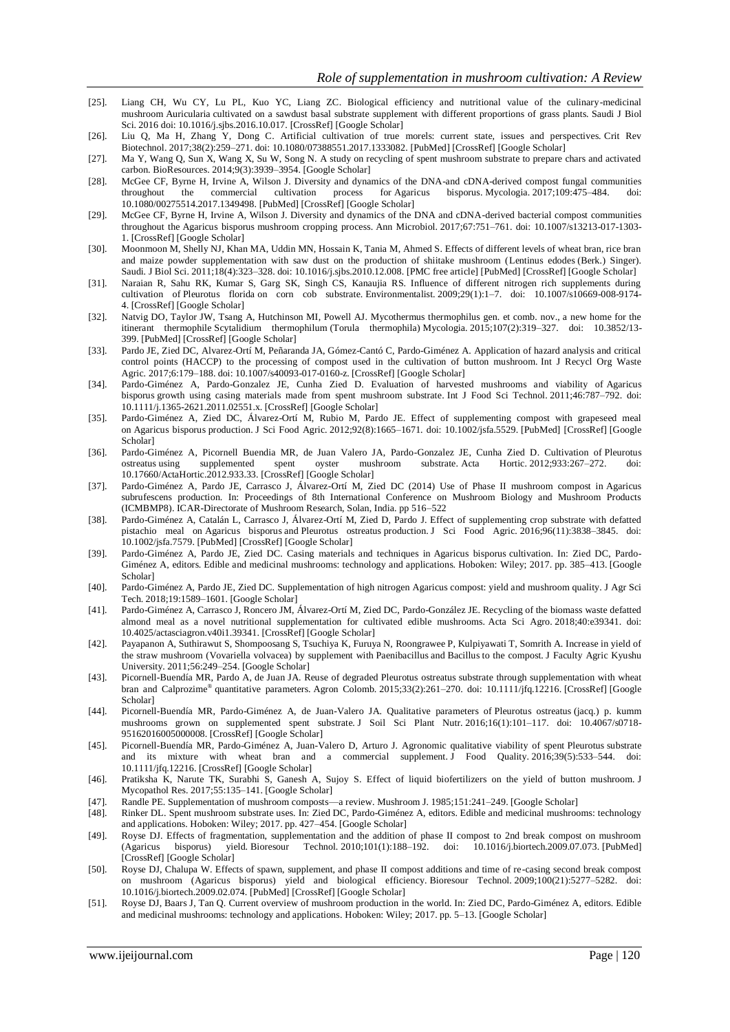- [25]. Liang CH, Wu CY, Lu PL, Kuo YC, Liang ZC. Biological efficiency and nutritional value of the culinary-medicinal mushroom Auricularia cultivated on a sawdust basal substrate supplement with different proportions of grass plants. Saudi J Biol Sci. 2016 doi: 10.1016/j.sjbs.2016.10.017. [\[CrossRef\]](https://dx.doi.org/10.1016%2Fj.sjbs.2016.10.017) [\[Google Scholar\]](https://scholar.google.com/scholar_lookup?journal=Saudi+J+Biol+Sci&title=Biological+efficiency+and+nutritional+value+of+the+culinary-medicinal+mushroom+Auricularia+cultivated+on+a+sawdust+basal+substrate+supplement+with+different+proportions+of+grass+plants&author=CH+Liang&author=CY+Wu&author=PL+Lu&author=YC+Kuo&author=ZC+Liang&publication_year=2016&doi=10.1016/j.sjbs.2016.10.017&)
- [26]. Liu Q, Ma H, Zhang Y, Dong C. Artificial cultivation of true morels: current state, issues and perspectives. Crit Rev Biotechnol. 2017;38(2):259–271. doi: 10.1080/07388551.2017.1333082. [\[PubMed\]](https://www.ncbi.nlm.nih.gov/pubmed/28585444) [\[CrossRef\]](https://dx.doi.org/10.1080%2F07388551.2017.1333082) [\[Google Scholar\]](https://scholar.google.com/scholar_lookup?journal=Crit+Rev+Biotechnol&title=Artificial+cultivation+of+true+morels:+current+state,+issues+and+perspectives&author=Q+Liu&author=H+Ma&author=Y+Zhang&author=C+Dong&volume=38&issue=2&publication_year=2017&pages=259-271&pmid=28585444&doi=10.1080/07388551.2017.1333082&)
- [27]. Ma Y, Wang Q, Sun X, Wang X, Su W, Song N. A study on recycling of spent mushroom substrate to prepare chars and activated carbon. BioResources. 2014;9(3):3939–3954. [\[Google Scholar\]](https://scholar.google.com/scholar_lookup?journal=BioResources&title=A+study+on+recycling+of+spent+mushroom+substrate+to+prepare+chars+and+activated+carbon&author=Y+Ma&author=Q+Wang&author=X+Sun&author=X+Wang&author=W+Su&volume=9&issue=3&publication_year=2014&pages=3939-3954&)
- [28]. McGee CF, Byrne H, Irvine A, Wilson J. Diversity and dynamics of the DNA-and cDNA-derived compost fungal communities throughout the commercial cultivation process for Agaricus bisporus. Mycologia. 2017;109:475–484. d throughout the commercial cultivation process for Agaricus bisporus. Mycologia. 2017;109:475–484. 10.1080/00275514.2017.1349498. [\[PubMed\]](https://www.ncbi.nlm.nih.gov/pubmed/28759322) [\[CrossRef\]](https://dx.doi.org/10.1080%2F00275514.2017.1349498) [\[Google Scholar\]](https://scholar.google.com/scholar_lookup?journal=Mycologia&title=Diversity+and+dynamics+of+the+DNA-and+cDNA-derived+compost+fungal+communities+throughout+the+commercial+cultivation+process+for+Agaricus+bisporus&author=CF+McGee&author=H+Byrne&author=A+Irvine&author=J+Wilson&volume=109&publication_year=2017&pages=475-484&pmid=28759322&doi=10.1080/00275514.2017.1349498&)
- [29]. McGee CF, Byrne H, Irvine A, Wilson J. Diversity and dynamics of the DNA and cDNA-derived bacterial compost communities throughout the Agaricus bisporus mushroom cropping process. Ann Microbiol. 2017;67:751–761. doi: 10.1007/s13213-017-1303- 1. [\[CrossRef\]](https://dx.doi.org/10.1007%2Fs13213-017-1303-1) [\[Google Scholar\]](https://scholar.google.com/scholar_lookup?journal=Ann+Microbiol&title=Diversity+and+dynamics+of+the+DNA+and+cDNA-derived+bacterial+compost+communities+throughout+the+Agaricus+bisporus+mushroom+cropping+process&author=CF+McGee&author=H+Byrne&author=A+Irvine&author=J+Wilson&volume=67&publication_year=2017&pages=751-761&doi=10.1007/s13213-017-1303-1&)
- [30]. Moonmoon M, Shelly NJ, Khan MA, Uddin MN, Hossain K, Tania M, Ahmed S. Effects of different levels of wheat bran, rice bran and maize powder supplementation with saw dust on the production of shiitake mushroom (Lentinus edodes (Berk.) Singer). Saudi. J Biol Sci. 2011;18(4):323–328. doi: 10.1016/j.sjbs.2010.12.008. [\[PMC free article\]](https://www.ncbi.nlm.nih.gov/pmc/articles/PMC3730944/) [\[PubMed\]](https://www.ncbi.nlm.nih.gov/pubmed/23961143) [\[CrossRef\]](https://dx.doi.org/10.1016%2Fj.sjbs.2010.12.008) [\[Google Scholar\]](https://scholar.google.com/scholar_lookup?journal=J+Biol+Sci&title=Effects+of+different+levels+of+wheat+bran,+rice+bran+and+maize+powder+supplementation+with+saw+dust+on+the+production+of+shiitake+mushroom+(Lentinus+edodes+(Berk.)+Singer).+Saudi&author=M+Moonmoon&author=NJ+Shelly&author=MA+Khan&author=MN+Uddin&author=K+Hossain&volume=18&issue=4&publication_year=2011&pages=323-328&doi=10.1016/j.sjbs.2010.12.008&)
- [31]. Naraian R, Sahu RK, Kumar S, Garg SK, Singh CS, Kanaujia RS. Influence of different nitrogen rich supplements during cultivation of Pleurotus florida on corn cob substrate. Environmentalist. 2009;29(1):1–7. doi: 10.1007/s10669-008-9174- 4. [\[CrossRef\]](https://dx.doi.org/10.1007%2Fs10669-008-9174-4) [\[Google Scholar\]](https://scholar.google.com/scholar_lookup?journal=Environmentalist&title=Influence+of+different+nitrogen+rich+supplements+during+cultivation+of+Pleurotus+florida+on+corn+cob+substrate&author=R+Naraian&author=RK+Sahu&author=S+Kumar&author=SK+Garg&author=CS+Singh&volume=29&issue=1&publication_year=2009&pages=1-7&doi=10.1007/s10669-008-9174-4&)
- [32]. Natvig DO, Taylor JW, Tsang A, Hutchinson MI, Powell AJ. Mycothermus thermophilus gen. et comb. nov., a new home for the itinerant thermophile Scytalidium thermophilum (Torula thermophila) Mycologia. 2015;107(2):319–327. doi: 10.3852/13- 399. [\[PubMed\]](https://www.ncbi.nlm.nih.gov/pubmed/25550298) [\[CrossRef\]](https://dx.doi.org/10.3852%2F13-399) [\[Google Scholar\]](https://scholar.google.com/scholar_lookup?journal=Mycologia&title=Mycothermus+thermophilus+gen.+et+comb.+nov.,+a+new+home+for+the+itinerant+thermophile+Scytalidium+thermophilum+(Torula+thermophila)&author=DO+Natvig&author=JW+Taylor&author=A+Tsang&author=MI+Hutchinson&author=AJ+Powell&volume=107&issue=2&publication_year=2015&pages=319-327&pmid=25550298&doi=10.3852/13-399&)
- [33]. Pardo JE, Zied DC, Alvarez-Ortí M, Peñaranda JA, Gómez-Cantó C, Pardo-Giménez A. Application of hazard analysis and critical control points (HACCP) to the processing of compost used in the cultivation of button mushroom. Int J Recycl Org Waste Agric. 2017;6:179–188. doi: 10.1007/s40093-017-0160-z. [\[CrossRef\]](https://dx.doi.org/10.1007%2Fs40093-017-0160-z) [\[Google Scholar\]](https://scholar.google.com/scholar_lookup?journal=Int+J+Recycl+Org+Waste+Agric&title=Application+of+hazard+analysis+and+critical+control+points+(HACCP)+to+the+processing+of+compost+used+in+the+cultivation+of+button+mushroom&author=JE+Pardo&author=DC+Zied&author=M+Alvarez-Ort%C3%AD&author=JA+Pe%C3%B1aranda&author=C+G%C3%B3mez-Cant%C3%B3&volume=6&publication_year=2017&pages=179-188&doi=10.1007/s40093-017-0160-z&)
- [34]. Pardo-Giménez A, Pardo-Gonzalez JE, Cunha Zied D. Evaluation of harvested mushrooms and viability of Agaricus bisporus growth using casing materials made from spent mushroom substrate. Int J Food Sci Technol. 2011;46:787–792. doi: 10.1111/j.1365-2621.2011.02551.x. [\[CrossRef\]](https://dx.doi.org/10.1111%2Fj.1365-2621.2011.02551.x) [\[Google Scholar\]](https://scholar.google.com/scholar_lookup?journal=Int+J+Food+Sci+Technol&title=Evaluation+of+harvested+mushrooms+and+viability+of+Agaricus+bisporus+growth+using+casing+materials+made+from+spent+mushroom+substrate&author=A+Pardo-Gim%C3%A9nez&author=JE+Pardo-Gonzalez&author=D+Cunha+Zied&volume=46&publication_year=2011&pages=787-792&doi=10.1111/j.1365-2621.2011.02551.x&)
- [35]. Pardo-Giménez A, Zied DC, Álvarez-Ortí M, Rubio M, Pardo JE. Effect of supplementing compost with grapeseed meal on Agaricus bisporus production. J Sci Food Agric. 2012;92(8):1665–1671. doi: 10.1002/jsfa.5529. [\[PubMed\]](https://www.ncbi.nlm.nih.gov/pubmed/22290399) [\[CrossRef\]](https://dx.doi.org/10.1002%2Fjsfa.5529) [\[Google](https://scholar.google.com/scholar_lookup?journal=J+Sci+Food+Agric&title=Effect+of+supplementing+compost+with+grapeseed+meal+on+Agaricus+bisporus+production&author=A+Pardo-Gim%C3%A9nez&author=DC+Zied&author=M+%C3%81lvarez-Ort%C3%AD&author=M+Rubio&author=JE+Pardo&volume=92&issue=8&publication_year=2012&pages=1665-1671&pmid=22290399&doi=10.1002/jsfa.5529&)  [Scholar\]](https://scholar.google.com/scholar_lookup?journal=J+Sci+Food+Agric&title=Effect+of+supplementing+compost+with+grapeseed+meal+on+Agaricus+bisporus+production&author=A+Pardo-Gim%C3%A9nez&author=DC+Zied&author=M+%C3%81lvarez-Ort%C3%AD&author=M+Rubio&author=JE+Pardo&volume=92&issue=8&publication_year=2012&pages=1665-1671&pmid=22290399&doi=10.1002/jsfa.5529&)
- [36]. Pardo-Giménez A, Picornell Buendia MR, de Juan Valero JA, Pardo-Gonzalez JE, Cunha Zied D. Cultivation of Pleurotus ostreatus using supplemented spent oyster mushroom substrate. Acta Hortic. 2012;933:267-272. 10.17660/ActaHortic.2012.933.33. [\[CrossRef\]](https://dx.doi.org/10.17660%2FActaHortic.2012.933.33) [\[Google Scholar\]](https://scholar.google.com/scholar_lookup?journal=Acta+Hortic&title=Cultivation+of+Pleurotus+ostreatus+using+supplemented+spent+oyster+mushroom+substrate&author=A+Pardo-Gim%C3%A9nez&author=MR+Picornell+Buendia&author=JA+de+Juan+Valero&author=JE+Pardo-Gonzalez&author=D+Cunha+Zied&volume=933&publication_year=2012&pages=267-272&doi=10.17660/ActaHortic.2012.933.33&)
- [37]. Pardo-Giménez A, Pardo JE, Carrasco J, Álvarez-Ortí M, Zied DC (2014) Use of Phase II mushroom compost in Agaricus subrufescens production. In: Proceedings of 8th International Conference on Mushroom Biology and Mushroom Products (ICMBMP8). ICAR-Directorate of Mushroom Research, Solan, India. pp 516–522
- [38]. Pardo-Giménez A, Catalán L, Carrasco J, Álvarez-Ortí M, Zied D, Pardo J. Effect of supplementing crop substrate with defatted pistachio meal on Agaricus bisporus and Pleurotus ostreatus production. J Sci Food Agric. 2016;96(11):3838–3845. doi: 10.1002/jsfa.7579. [\[PubMed\]](https://www.ncbi.nlm.nih.gov/pubmed/26692380) [\[CrossRef\]](https://dx.doi.org/10.1002%2Fjsfa.7579) [\[Google Scholar\]](https://scholar.google.com/scholar_lookup?journal=J+Sci+Food+Agric&title=Effect+of+supplementing+crop+substrate+with+defatted+pistachio+meal+on+Agaricus+bisporus+and+Pleurotus+ostreatus+production&author=A+Pardo-Gim%C3%A9nez&author=L+Catal%C3%A1n&author=J+Carrasco&author=M+%C3%81lvarez-Ort%C3%AD&author=D+Zied&volume=96&issue=11&publication_year=2016&pages=3838-3845&pmid=26692380&doi=10.1002/jsfa.7579&)
- [39]. Pardo-Giménez A, Pardo JE, Zied DC. Casing materials and techniques in Agaricus bisporus cultivation. In: Zied DC, Pardo-Giménez A, editors. Edible and medicinal mushrooms: technology and applications. Hoboken: Wiley; 2017. pp. 385–413. [\[Google](https://scholar.google.com/scholar_lookup?title=Edible+and+medicinal+mushrooms:+technology+and+applications&author=A+Pardo-Gim%C3%A9nez&author=JE+Pardo&author=DC+Zied&publication_year=2017&)  [Scholar\]](https://scholar.google.com/scholar_lookup?title=Edible+and+medicinal+mushrooms:+technology+and+applications&author=A+Pardo-Gim%C3%A9nez&author=JE+Pardo&author=DC+Zied&publication_year=2017&)
- [40]. Pardo-Giménez A, Pardo JE, Zied DC. Supplementation of high nitrogen Agaricus compost: yield and mushroom quality. J Agr Sci Tech. 2018;19:1589–1601. [\[Google Scholar\]](https://scholar.google.com/scholar_lookup?journal=J+Agr+Sci+Tech&title=Supplementation+of+high+nitrogen+Agaricus+compost:+yield+and+mushroom+quality&author=A+Pardo-Gim%C3%A9nez&author=JE+Pardo&author=DC+Zied&volume=19&publication_year=2018&pages=1589-1601&)
- [41]. Pardo-Giménez A, Carrasco J, Roncero JM, Álvarez-Ortí M, Zied DC, Pardo-González JE. Recycling of the biomass waste defatted almond meal as a novel nutritional supplementation for cultivated edible mushrooms. Acta Sci Agro. 2018;40:e39341. doi: 10.4025/actasciagron.v40i1.39341. [\[CrossRef\]](https://dx.doi.org/10.4025%2Factasciagron.v40i1.39341) [\[Google Scholar\]](https://scholar.google.com/scholar_lookup?journal=Acta+Sci+Agro&title=Recycling+of+the+biomass+waste+defatted+almond+meal+as+a+novel+nutritional+supplementation+for+cultivated+edible+mushrooms&author=A+Pardo-Gim%C3%A9nez&author=J+Carrasco&author=JM+Roncero&author=M+%C3%81lvarez-Ort%C3%AD&author=DC+Zied&volume=40&publication_year=2018&pages=e39341&doi=10.4025/actasciagron.v40i1.39341&)
- [42]. Payapanon A, Suthirawut S, Shompoosang S, Tsuchiya K, Furuya N, Roongrawee P, Kulpiyawati T, Somrith A. Increase in yield of the straw mushroom (Vovariella volvacea) by supplement with Paenibacillus and Bacillus to the compost. J Faculty Agric Kyushu University. 2011;56:249–254. [\[Google Scholar\]](https://scholar.google.com/scholar_lookup?journal=J+Faculty+Agric+Kyushu+University&title=Increase+in+yield+of+the+straw+mushroom+(Vovariella+volvacea)+by+supplement+with+Paenibacillus+and+Bacillus+to+the+compost&author=A+Payapanon&author=S+Suthirawut&author=S+Shompoosang&author=K+Tsuchiya&author=N+Furuya&volume=56&publication_year=2011&pages=249-254&)
- [43]. Picornell-Buendía MR, Pardo A, de Juan JA. Reuse of degraded Pleurotus ostreatus substrate through supplementation with wheat bran and Calprozime® quantitative parameters. Agron Colomb. 2015;33(2):261–270. doi: 10.1111/jfq.12216. [\[CrossRef\]](https://dx.doi.org/10.1111%2Fjfq.12216) [Google [Scholar\]](https://scholar.google.com/scholar_lookup?journal=Agron+Colomb&title=Reuse+of+degraded+Pleurotus+ostreatus+substrate+through+supplementation+with+wheat+bran+and+Calprozime%C2%AE+quantitative+parameters&author=MR+Picornell-Buend%C3%ADa&author=A+Pardo&author=JA+de+Juan&volume=33&issue=2&publication_year=2015&pages=261-270&doi=10.1111/jfq.12216&)
- [44]. Picornell-Buendía MR, Pardo-Giménez A, de Juan-Valero JA. Qualitative parameters of Pleurotus ostreatus (jacq.) p. kumm mushrooms grown on supplemented spent substrate. J Soil Sci Plant Nutr. 2016;16(1):101–117. doi: 10.4067/s0718- 95162016005000008. [\[CrossRef\]](https://dx.doi.org/10.4067%2Fs0718-95162016005000008) [\[Google Scholar\]](https://scholar.google.com/scholar_lookup?journal=J+Soil+Sci+Plant+Nutr&title=Qualitative+parameters+of+Pleurotus+ostreatus+(jacq.)+p.+kumm+mushrooms+grown+on+supplemented+spent+substrate&author=MR+Picornell-Buend%C3%ADa&author=A+Pardo-Gim%C3%A9nez&author=JA+de+Juan-Valero&volume=16&issue=1&publication_year=2016&pages=101-117&doi=10.4067/s0718-95162016005000008&)
- [45]. Picornell-Buendía MR, Pardo-Giménez A, Juan-Valero D, Arturo J. Agronomic qualitative viability of spent Pleurotus substrate and its mixture with wheat bran and a commercial supplement. J Food Quality. 2016;39(5):533–544. doi: 10.1111/jfq.12216. [\[CrossRef\]](https://dx.doi.org/10.1111%2Fjfq.12216) [\[Google Scholar\]](https://scholar.google.com/scholar_lookup?journal=J+Food+Quality&title=Agronomic+qualitative+viability+of+spent+Pleurotus+substrate+and+its+mixture+with+wheat+bran+and+a+commercial+supplement&author=MR+Picornell-Buend%C3%ADa&author=A+Pardo-Gim%C3%A9nez&author=D+Juan-Valero&author=J+Arturo&volume=39&issue=5&publication_year=2016&pages=533-544&doi=10.1111/jfq.12216&)
- [46]. Pratiksha K, Narute TK, Surabhi S, Ganesh A, Sujoy S. Effect of liquid biofertilizers on the yield of button mushroom. J Mycopathol Res. 2017;55:135–141. [\[Google Scholar\]](https://scholar.google.com/scholar_lookup?journal=J+Mycopathol+Res&title=Effect+of+liquid+biofertilizers+on+the+yield+of+button+mushroom&author=K+Pratiksha&author=TK+Narute&author=S+Surabhi&author=A+Ganesh&author=S+Sujoy&volume=55&publication_year=2017&pages=135-141&)
- [47]. Randle PE. Supplementation of mushroom composts—a review. Mushroom J. 1985;151:241–249. [\[Google Scholar\]](https://scholar.google.com/scholar_lookup?journal=Mushroom+J&title=Supplementation+of+mushroom+composts%E2%80%94a+review&author=PE+Randle&volume=151&publication_year=1985&pages=241-249&)
- [48]. Rinker DL. Spent mushroom substrate uses. In: Zied DC, Pardo-Giménez A, editors. Edible and medicinal mushrooms: technology and applications. Hoboken: Wiley; 2017. pp. 427–454. [\[Google Scholar\]](https://scholar.google.com/scholar_lookup?title=Edible+and+medicinal+mushrooms:+technology+and+applications&author=DL+Rinker&publication_year=2017&)
- [49]. Royse DJ. Effects of fragmentation, supplementation and the addition of phase II compost to 2nd break compost on mushroom (Agaricus bisporus) yield. Bioresour Technol. 2010;101(1):188–192. doi: 10.1016/j.biortech.2009.07.073. [\[PubMed\]](https://www.ncbi.nlm.nih.gov/pubmed/19733059) [\[CrossRef\]](https://dx.doi.org/10.1016%2Fj.biortech.2009.07.073) [\[Google Scholar\]](https://scholar.google.com/scholar_lookup?journal=Bioresour+Technol&title=Effects+of+fragmentation,+supplementation+and+the+addition+of+phase+II+compost+to+2nd+break+compost+on+mushroom+(Agaricus+bisporus)+yield&author=DJ+Royse&volume=101&issue=1&publication_year=2010&pages=188-192&pmid=19733059&doi=10.1016/j.biortech.2009.07.073&)
- [50]. Royse DJ, Chalupa W. Effects of spawn, supplement, and phase II compost additions and time of re-casing second break compost on mushroom (Agaricus bisporus) yield and biological efficiency. Bioresour Technol. 2009;100(21):5277–5282. doi: 10.1016/j.biortech.2009.02.074. [\[PubMed\]](https://www.ncbi.nlm.nih.gov/pubmed/19559602) [\[CrossRef\]](https://dx.doi.org/10.1016%2Fj.biortech.2009.02.074) [\[Google Scholar\]](https://scholar.google.com/scholar_lookup?journal=Bioresour+Technol&title=Effects+of+spawn,+supplement,+and+phase+II+compost+additions+and+time+of+re-casing+second+break+compost+on+mushroom+(Agaricus+bisporus)+yield+and+biological+efficiency&author=DJ+Royse&author=W+Chalupa&volume=100&issue=21&publication_year=2009&pages=5277-5282&pmid=19559602&doi=10.1016/j.biortech.2009.02.074&)
- [51]. Royse DJ, Baars J, Tan Q. Current overview of mushroom production in the world. In: Zied DC, Pardo-Giménez A, editors. Edible and medicinal mushrooms: technology and applications. Hoboken: Wiley; 2017. pp. 5–13. [\[Google Scholar\]](https://scholar.google.com/scholar_lookup?title=Edible+and+medicinal+mushrooms:+technology+and+applications&author=DJ+Royse&author=J+Baars&author=Q+Tan&publication_year=2017&)